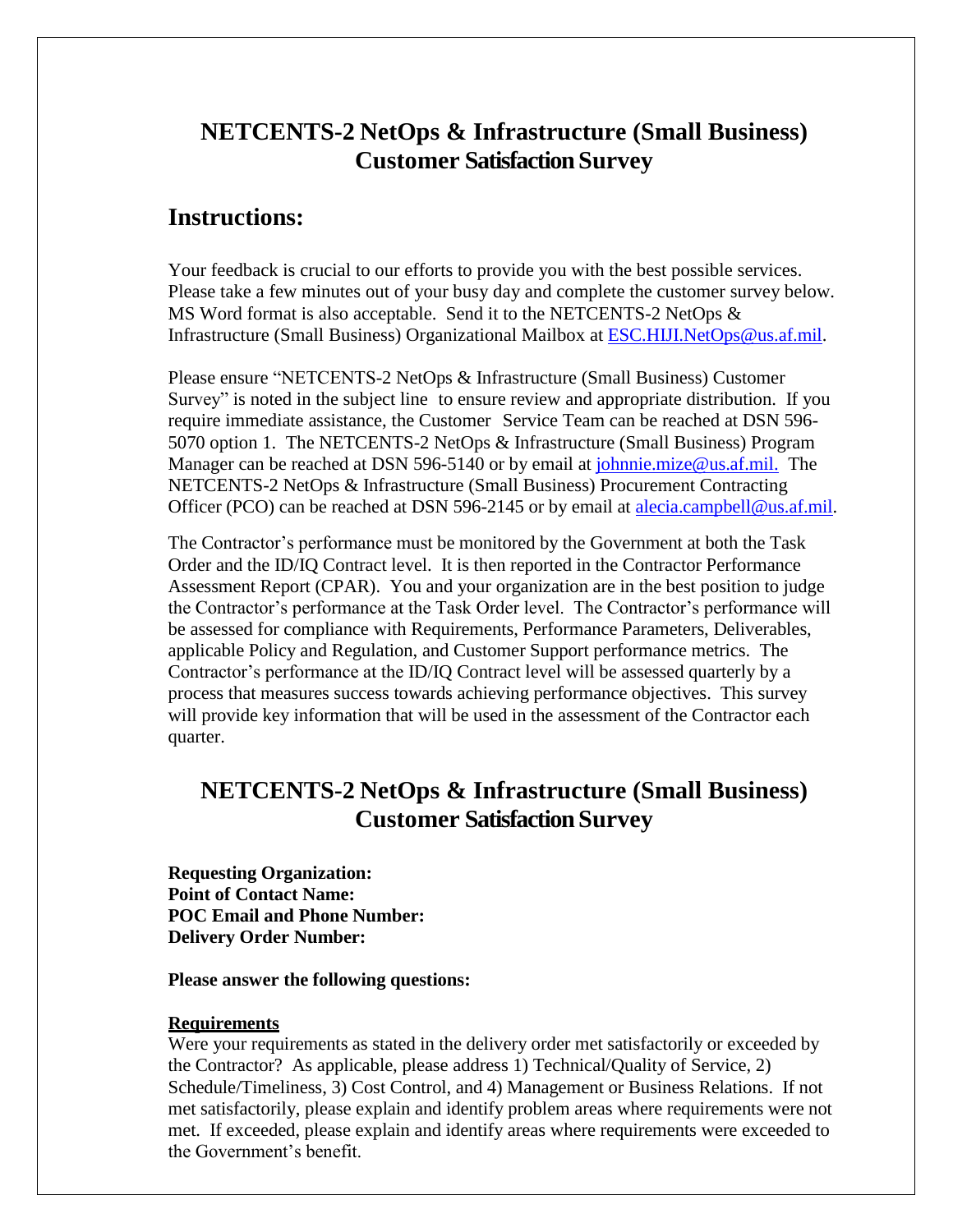# **NETCENTS-2 NetOps & Infrastructure (Small Business) Customer Satisfaction Survey**

## **Instructions:**

Your feedback is crucial to our efforts to provide you with the best possible services. Please take a few minutes out of your busy day and complete the customer survey below. MS Word format is also acceptable. Send it to the NETCENTS-2 NetOps  $\&$ Infrastructure (Small Business) Organizational Mailbox at [ESC.HIJI.NetOps@us.af.mil.](mailto:ESC.HIJI.NetOps@us.af.mil)

Please ensure "NETCENTS-2 NetOps & Infrastructure (Small Business) Customer Survey" is noted in the subject line to ensure review and appropriate distribution. If you require immediate assistance, the Customer Service Team can be reached at DSN 596- 5070 option 1. The NETCENTS-2 NetOps & Infrastructure (Small Business) Program Manager can be reached at DSN 596-5140 or by email at [johnnie.mize@us.af.mil.](mailto:johnnie.mize@us.af.mil.) The NETCENTS-2 NetOps & Infrastructure (Small Business) Procurement Contracting Officer (PCO) can be reached at DSN 596-2145 or by email at [alecia.campbell@us.af.mil.](mailto:alecia.campbell@us.af.mil)

The Contractor's performance must be monitored by the Government at both the Task Order and the ID/IQ Contract level. It is then reported in the Contractor Performance Assessment Report (CPAR). You and your organization are in the best position to judge the Contractor's performance at the Task Order level. The Contractor's performance will be assessed for compliance with Requirements, Performance Parameters, Deliverables, applicable Policy and Regulation, and Customer Support performance metrics. The Contractor's performance at the ID/IQ Contract level will be assessed quarterly by a process that measures success towards achieving performance objectives. This survey will provide key information that will be used in the assessment of the Contractor each quarter.

# **NETCENTS-2 NetOps & Infrastructure (Small Business) Customer Satisfaction Survey**

**Requesting Organization: Point of Contact Name: POC Email and Phone Number: Delivery Order Number:**

#### **Please answer the following questions:**

#### **Requirements**

Were your requirements as stated in the delivery order met satisfactorily or exceeded by the Contractor? As applicable, please address 1) Technical/Quality of Service, 2) Schedule/Timeliness, 3) Cost Control, and 4) Management or Business Relations. If not met satisfactorily, please explain and identify problem areas where requirements were not met. If exceeded, please explain and identify areas where requirements were exceeded to the Government's benefit.